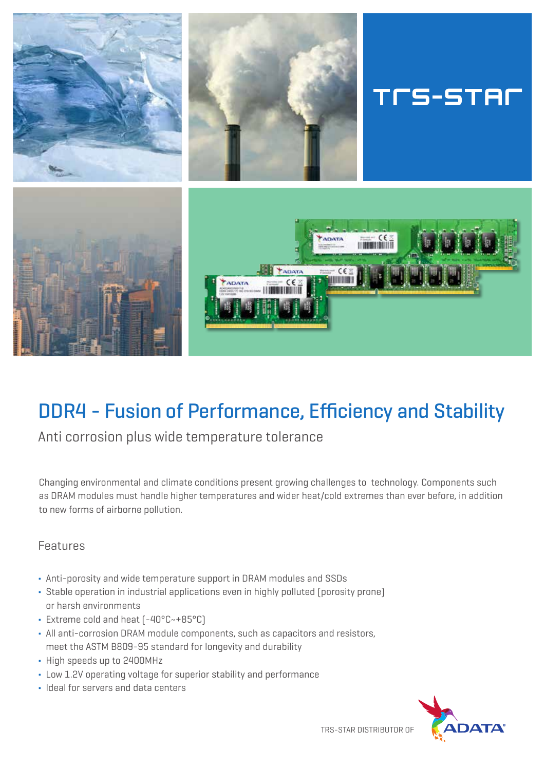

# DDR4 - Fusion of Performance, Efficiency and Stability

Anti corrosion plus wide temperature tolerance

Changing environmental and climate conditions present growing challenges to technology. Components such as DRAM modules must handle higher temperatures and wider heat/cold extremes than ever before, in addition to new forms of airborne pollution.

# Features

- Anti-porosity and wide temperature support in DRAM modules and SSDs
- Stable operation in industrial applications even in highly polluted (porosity prone) or harsh environments
- Extreme cold and heat (-40°C~+85°C)
- All anti-corrosion DRAM module components, such as capacitors and resistors, meet the ASTM B809-95 standard for longevity and durability
- High speeds up to 2400MHz
- Low 1.2V operating voltage for superior stability and performance
- **.** Ideal for servers and data centers



TRS-STAR DISTRIBUTOR OF